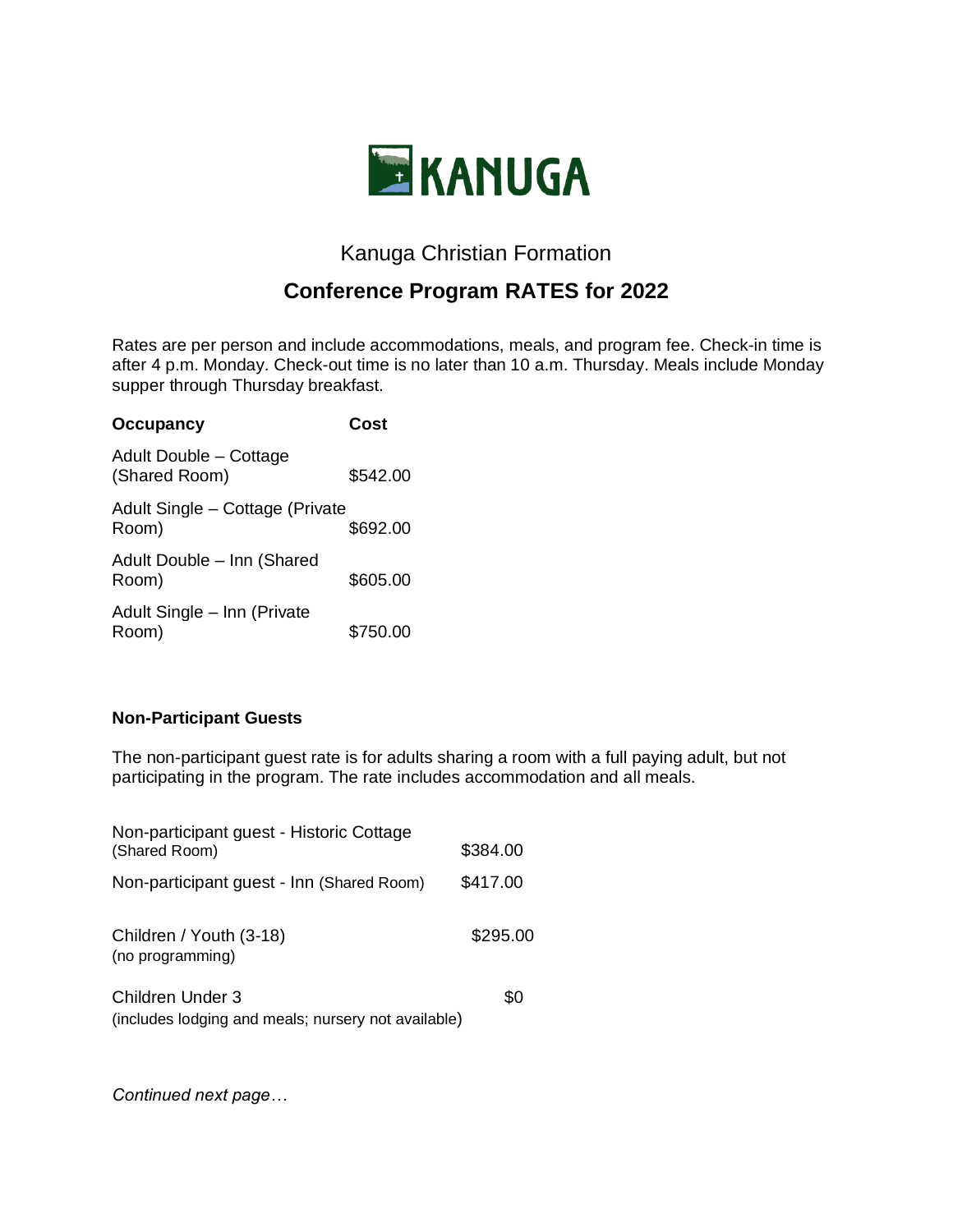

# Kanuga Christian Formation

# **Conference Program RATES for 2022**

Rates are per person and include accommodations, meals, and program fee. Check-in time is after 4 p.m. Monday. Check-out time is no later than 10 a.m. Thursday. Meals include Monday supper through Thursday breakfast.

| <b>Occupancy</b>                         | Cost     |
|------------------------------------------|----------|
| Adult Double - Cottage<br>(Shared Room)  | \$542.00 |
| Adult Single - Cottage (Private<br>Room) | \$692.00 |
| Adult Double - Inn (Shared<br>Room)      | \$605.00 |
| Adult Single - Inn (Private<br>Room)     | \$750.00 |

## **Non-Participant Guests**

The non-participant guest rate is for adults sharing a room with a full paying adult, but not participating in the program. The rate includes accommodation and all meals.

| Non-participant guest - Historic Cottage<br>(Shared Room)               | \$384.00 |
|-------------------------------------------------------------------------|----------|
| Non-participant guest - Inn (Shared Room)                               | \$417.00 |
| Children / Youth (3-18)<br>(no programming)                             | \$295.00 |
| Children Under 3<br>(includes lodging and meals; nursery not available) | \$0      |

*Continued next page…*